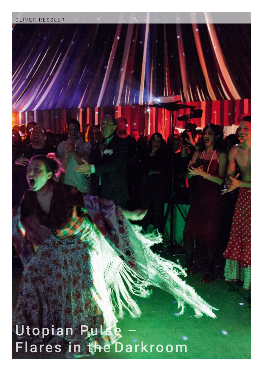## Utopian Pulse – Flares in the Darkroom

OLIVER RESSLER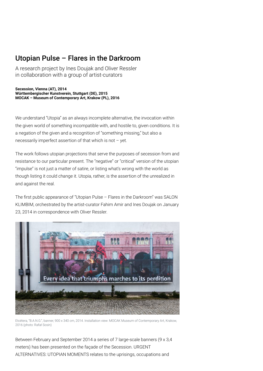## Utopian Pulse – Flares in the Darkroom

A research project by Ines Doujak and Oliver Ressler in collaboration with a group of artist-curators

**Secession, Vienna (AT), 2014 Württembergischer Kunstverein, Stuttgart (DE), 2015 MOCAK – Museum of Contemporary Art, Krakow (PL), 2016**

We understand "Utopia" as an always incomplete alternative, the invocation within the given world of something incompatible with, and hostile to, given conditions. It is a negation of the given and a recognition of "something missing," but also a necessarily imperfect assertion of that which is not – yet.

The work follows utopian projections that serve the purposes of secession from and resistance to our particular present. The "negative" or "critical" version of the utopian "impulse" is not just a matter of satire, or listing what's wrong with the world as though listing it could change it. Utopia, rather, is the assertion of the unrealized in and against the real.

The first public appearance of "Utopian Pulse  $-$  Flares in the Darkroom" was SALON KLIMBIM, orchestrated by the artist-curator Fahim Amir and Ines Doujak on January 23, 2014 in correspondence with Oliver Ressler.



Etcétera, "B.A.N.G.", banner, 900 x 340 cm, 2014. Installation view: MOCAK Museum of Contemporary Art, Krakow, 2016 (photo: Rafał Sosin)

Between February and September 2014 a series of 7 large-scale banners (9 x 3,4 meters) has been presented on the façade of the Secession. URGENT ALTERNATIVES: UTOPIAN MOMENTS relates to the uprisings, occupations and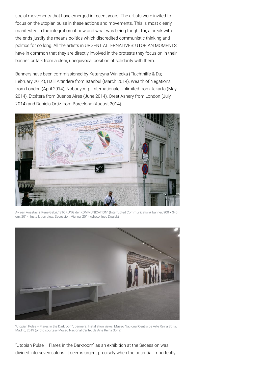social movements that have emerged in recent years. The artists were invited to focus on the utopian pulse in these actions and movements. This is most clearly manifested in the integration of how and what was being fought for, a break with the-ends-justify-the-means politics which discredited communistic thinking and politics for so long. All the artists in URGENT ALTERNATIVES: UTOPIAN MOMENTS have in common that they are directly involved in the protests they focus on in their banner, or talk from a clear, unequivocal position of solidarity with them.

Banners have been commissioned by Katarzyna Winiecka (Fluchthilfe & Du; February 2014), Halil Altindere from Istanbul (March 2014), Wealth of Negations from London (April 2014), Nobodycorp. Internationale Unlimited from Jakarta (May 2014), Etcétera from Buenos Aires (June 2014), Oreet Ashery from London (July 2014) and Daniela Ortiz from Barcelona (August 2014).



Ayreen Anastas & Rene Gabri, "STÖRUNG der KOMMUNICATION" (Interrupted Communication), banner, 900 x 340 cm, 2014. Installation view: Secession, Vienna, 2014 (photo: Ines Doujak)



"Utopian Pulse – Flares in the Darkroom", banners. Installation views: Museo Nacional Centro de Arte Reina Sofía, Madrid, 2019 (photo courtesy Museo Nacional Centro de Arte Reina Sofía)

"Utopian Pulse – Flares in the Darkroom" as an exhibition at the Secession was divided into seven salons. It seems urgent precisely when the potential imperfectly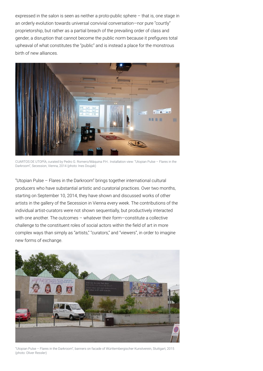expressed in the salon is seen as neither a proto-public sphere – that is, one stage in an orderly evolution towards universal convivial conversation-nor pure "courtly" proprietorship, but rather as a partial breach of the prevailing order of class and gender, a disruption that cannot become the public norm because it prefigures total upheaval of what constitutes the "public" and is instead a place for the monstrous birth of new alliances.



CUARTOS DE UTOPÍA, curated by Pedro G. Romero/Máquina P.H.. Installation view: "Utopian Pulse – Flares in the Darkroom", Secession, Vienna, 2014 (photo: Ines Doujak)

"Utopian Pulse – Flares in the Darkroom" brings together international cultural producers who have substantial artistic and curatorial practices. Over two months, starting on September 10, 2014, they have shown and discussed works of other artists in the gallery of the Secession in Vienna every week. The contributions of the individual artist-curators were not shown sequentially, but productively interacted with one another. The outcomes – whatever their form–constitute a collective challenge to the constituent roles of social actors within the field of art in more complex ways than simply as "artists," "curators," and "viewers", in order to imagine new forms of exchange.



"Utopian Pulse – Flares in the Darkroom", banners on facade of Württembergischer Kunstverein, Stuttgart, 2015 (photo: Oliver Ressler)